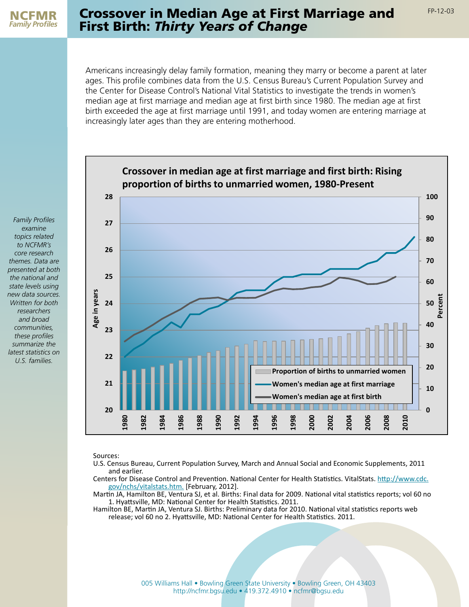# Crossover in Median Age at First Marriage and FP-12-03 First Birth: *Thirty Years of Change*

Americans increasingly delay family formation, meaning they marry or become a parent at later ages. This profile combines data from the U.S. Census Bureau's Current Population Survey and the Center for Disease Control's National Vital Statistics to investigate the trends in women's median age at first marriage and median age at first birth since 1980. The median age at first birth exceeded the age at first marriage until 1991, and today women are entering marriage at increasingly later ages than they are entering motherhood.

**Crossover in median age at first marriage and first birth: Rising proportion of births to unmarried women, 1980-Present 28 100 90 27 80 26 70 25 60** Age in years **Age in years** Percen<sup>-</sup> **24 50 40 23 30 22 20 Proportion of births to unmarried women 21 Women's median age at first marriage 10 Women's median age at first birth 20 0 1986 1988 1990 2010 1980 1982 1984 1992 1994 1998 2000 2006 2008 1996 2002 2004**

*Family Profiles examine topics related to NCFMR's core research themes. Data are presented at both the national and state levels using new data sources. Written for both researchers and broad communities, these profiles summarize the latest statistics on U.S. families.*

Sources:

U.S. Census Bureau, Current Population Survey, March and Annual Social and Economic Supplements, 2011 and earlier.

Centers for Disease Control and Prevention. National Center for Health Statistics. VitalStats. [http://www.cdc.](http://www.cdc.gov/nchs/vitalstats.htm) [gov/nchs/vitalstats.htm.](http://www.cdc.gov/nchs/vitalstats.htm) [February, 2012].

Martin JA, Hamilton BE, Ventura SJ, et al. Births: Final data for 2009. National vital statistics reports; vol 60 no 1. Hyattsville, MD: National Center for Health Statistics. 2011.

Hamilton BE, Martin JA, Ventura SJ. Births: Preliminary data for 2010. National vital statistics reports web release; vol 60 no 2. Hyattsville, MD: National Center for Health Statistics. 2011.